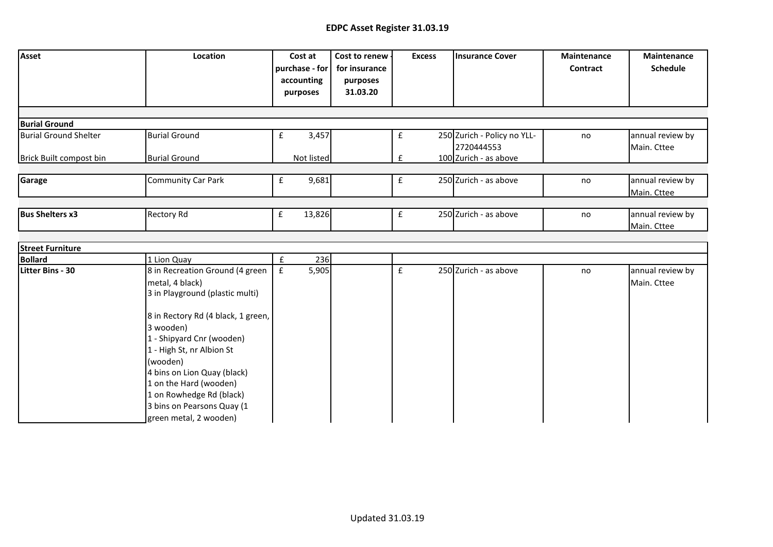## **EDPC Asset Register 31.03.19**

| Asset                                                | Location                                                                                                                                                                                                                                                                |                    | Cost at<br>purchase - for<br>accounting<br>purposes | Cost to renew<br>for insurance<br>purposes<br>31.03.20 |             | <b>Excess</b> | <b>Insurance Cover</b>                    | <b>Maintenance</b><br>Contract | Maintenance<br><b>Schedule</b>  |
|------------------------------------------------------|-------------------------------------------------------------------------------------------------------------------------------------------------------------------------------------------------------------------------------------------------------------------------|--------------------|-----------------------------------------------------|--------------------------------------------------------|-------------|---------------|-------------------------------------------|--------------------------------|---------------------------------|
|                                                      |                                                                                                                                                                                                                                                                         |                    |                                                     |                                                        |             |               |                                           |                                |                                 |
| <b>Burial Ground</b><br><b>Burial Ground Shelter</b> | <b>Burial Ground</b>                                                                                                                                                                                                                                                    | ${\bf f}$          | 3,457                                               |                                                        | f           |               | 250 Zurich - Policy no YLL-<br>2720444553 | no                             | annual review by<br>Main. Cttee |
| Brick Built compost bin                              | <b>Burial Ground</b>                                                                                                                                                                                                                                                    |                    | Not listed                                          |                                                        | £           |               | 100 Zurich - as above                     |                                |                                 |
| Garage                                               | <b>Community Car Park</b>                                                                                                                                                                                                                                               | £                  | 9,681                                               |                                                        | £           |               | 250 Zurich - as above                     | no                             | annual review by<br>Main. Cttee |
| <b>Bus Shelters x3</b>                               | <b>Rectory Rd</b>                                                                                                                                                                                                                                                       | $\pmb{\mathsf{f}}$ | 13,826                                              |                                                        | $\mathbf f$ |               | 250 Zurich - as above                     | no                             | annual review by<br>Main. Cttee |
|                                                      |                                                                                                                                                                                                                                                                         |                    |                                                     |                                                        |             |               |                                           |                                |                                 |
| <b>Street Furniture</b>                              |                                                                                                                                                                                                                                                                         |                    |                                                     |                                                        |             |               |                                           |                                |                                 |
| <b>Bollard</b>                                       | 1 Lion Quay                                                                                                                                                                                                                                                             | £                  | 236                                                 |                                                        |             |               |                                           |                                |                                 |
| <b>Litter Bins - 30</b>                              | 8 in Recreation Ground (4 green<br>metal, 4 black)<br>3 in Playground (plastic multi)<br>8 in Rectory Rd (4 black, 1 green,<br>3 wooden)<br>1 - Shipyard Cnr (wooden)<br>1 - High St, nr Albion St<br>(wooden)<br>4 bins on Lion Quay (black)<br>1 on the Hard (wooden) | £                  | 5,905                                               |                                                        | £           |               | 250 Zurich - as above                     | no                             | annual review by<br>Main. Cttee |
|                                                      | 1 on Rowhedge Rd (black)<br>3 bins on Pearsons Quay (1<br>green metal, 2 wooden)                                                                                                                                                                                        |                    |                                                     |                                                        |             |               |                                           |                                |                                 |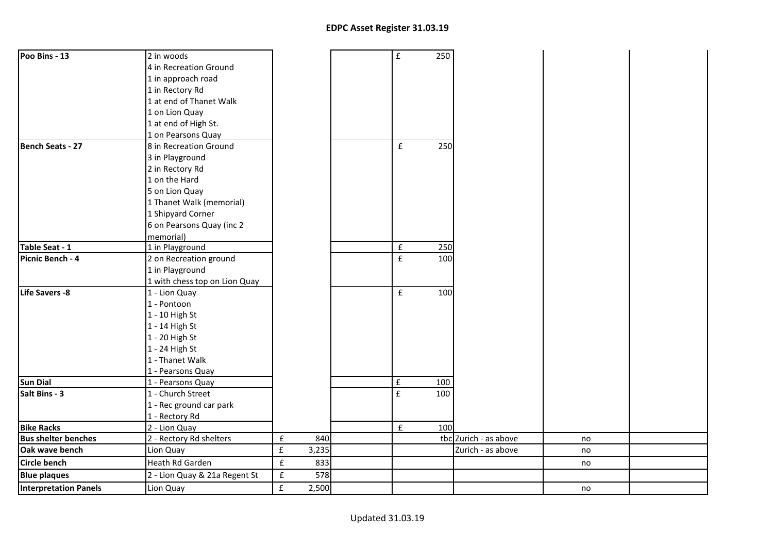| Poo Bins - 13              | 2 in woods                    |                    |       | $\pmb{\mathsf{f}}$ | 250 |                       |    |  |
|----------------------------|-------------------------------|--------------------|-------|--------------------|-----|-----------------------|----|--|
|                            | 4 in Recreation Ground        |                    |       |                    |     |                       |    |  |
|                            | 1 in approach road            |                    |       |                    |     |                       |    |  |
|                            | 1 in Rectory Rd               |                    |       |                    |     |                       |    |  |
|                            | 1 at end of Thanet Walk       |                    |       |                    |     |                       |    |  |
|                            | 1 on Lion Quay                |                    |       |                    |     |                       |    |  |
|                            | 1 at end of High St.          |                    |       |                    |     |                       |    |  |
|                            | 1 on Pearsons Quay            |                    |       |                    |     |                       |    |  |
| <b>Bench Seats - 27</b>    | 8 in Recreation Ground        |                    |       | £                  | 250 |                       |    |  |
|                            | 3 in Playground               |                    |       |                    |     |                       |    |  |
|                            | 2 in Rectory Rd               |                    |       |                    |     |                       |    |  |
|                            | 1 on the Hard                 |                    |       |                    |     |                       |    |  |
|                            | 5 on Lion Quay                |                    |       |                    |     |                       |    |  |
|                            | 1 Thanet Walk (memorial)      |                    |       |                    |     |                       |    |  |
|                            | 1 Shipyard Corner             |                    |       |                    |     |                       |    |  |
|                            | 6 on Pearsons Quay (inc 2     |                    |       |                    |     |                       |    |  |
|                            | memorial)                     |                    |       |                    |     |                       |    |  |
| Table Seat - 1             | 1 in Playground               |                    |       | ${\bf f}$          | 250 |                       |    |  |
| Picnic Bench - 4           | 2 on Recreation ground        |                    |       | $\mathbf f$        | 100 |                       |    |  |
|                            | 1 in Playground               |                    |       |                    |     |                       |    |  |
|                            | 1 with chess top on Lion Quay |                    |       |                    |     |                       |    |  |
| Life Savers -8             | 1 - Lion Quay                 |                    |       | $\pmb{\mathsf{f}}$ | 100 |                       |    |  |
|                            | 1 - Pontoon                   |                    |       |                    |     |                       |    |  |
|                            | 1 - 10 High St                |                    |       |                    |     |                       |    |  |
|                            | 1 - 14 High St                |                    |       |                    |     |                       |    |  |
|                            | 1 - 20 High St                |                    |       |                    |     |                       |    |  |
|                            | 1 - 24 High St                |                    |       |                    |     |                       |    |  |
|                            | 1 - Thanet Walk               |                    |       |                    |     |                       |    |  |
|                            | 1 - Pearsons Quay             |                    |       |                    |     |                       |    |  |
| <b>Sun Dial</b>            | 1 - Pearsons Quay             |                    |       | $\pmb{\mathsf{f}}$ | 100 |                       |    |  |
| Salt Bins - 3              | 1 - Church Street             |                    |       | $\mathbf f$        | 100 |                       |    |  |
|                            | 1 - Rec ground car park       |                    |       |                    |     |                       |    |  |
|                            | 1 - Rectory Rd                |                    |       |                    |     |                       |    |  |
| <b>Bike Racks</b>          | 2 - Lion Quay                 |                    |       | $\pmb{\text{f}}$   | 100 |                       |    |  |
| <b>Bus shelter benches</b> | 2 - Rectory Rd shelters       | $\pmb{\mathsf{f}}$ | 840   |                    |     | tbc Zurich - as above | no |  |
| Oak wave bench             | Lion Quay                     | $\pmb{\mathsf{f}}$ | 3,235 |                    |     | Zurich - as above     | no |  |
| Circle bench               | Heath Rd Garden               | $\pmb{\mathsf{f}}$ | 833   |                    |     |                       | no |  |
| <b>Blue plaques</b>        | 2 - Lion Quay & 21a Regent St | ${\bf f}$          | 578   |                    |     |                       |    |  |
| Interpretation Panels      | Lion Quay                     | $\pmb{\mathsf{f}}$ | 2,500 |                    |     |                       | no |  |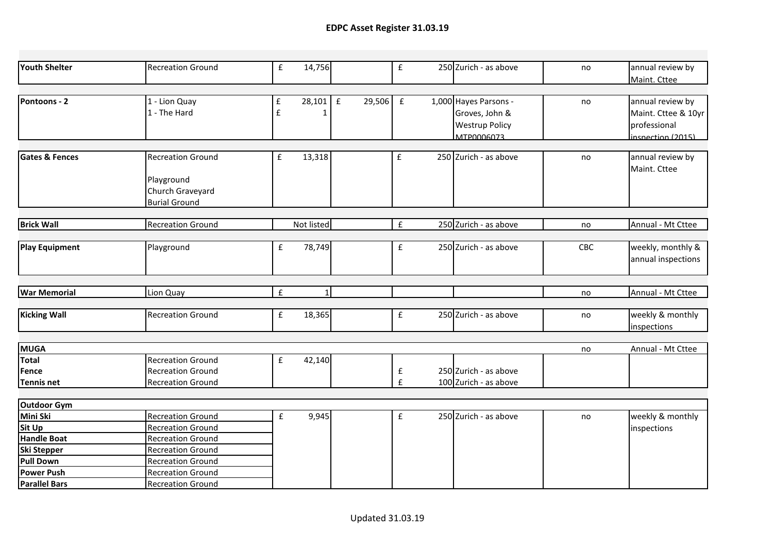| Youth Shelter             | <b>Recreation Ground</b> | £                  | 14,756       |        | $\pmb{\mathsf{f}}$ | 250 Zurich - as above | no  | annual review by    |
|---------------------------|--------------------------|--------------------|--------------|--------|--------------------|-----------------------|-----|---------------------|
|                           |                          |                    |              |        |                    |                       |     | Maint. Cttee        |
|                           |                          |                    |              |        |                    |                       |     |                     |
| Pontoons - 2              | 1 - Lion Quay            | $\pmb{\mathsf{f}}$ | $28,101$ $E$ | 29,506 | $\mathbf{f}$       | 1,000 Hayes Parsons - | no  | annual review by    |
|                           | 1 - The Hard             | $\mathbf f$        | 1            |        |                    | Groves, John &        |     | Maint. Cttee & 10yr |
|                           |                          |                    |              |        |                    | <b>Westrup Policy</b> |     | professional        |
|                           |                          |                    |              |        |                    | MTP0006073            |     | inspection (2015)   |
|                           |                          |                    |              |        |                    |                       |     |                     |
| <b>Gates &amp; Fences</b> | <b>Recreation Ground</b> | £                  | 13,318       |        | £                  | 250 Zurich - as above | no  | annual review by    |
|                           |                          |                    |              |        |                    |                       |     | Maint. Cttee        |
|                           | Playground               |                    |              |        |                    |                       |     |                     |
|                           | Church Graveyard         |                    |              |        |                    |                       |     |                     |
|                           | <b>Burial Ground</b>     |                    |              |        |                    |                       |     |                     |
|                           |                          |                    |              |        |                    |                       |     |                     |
| <b>Brick Wall</b>         | <b>Recreation Ground</b> |                    | Not listed   |        | £                  | 250 Zurich - as above | no  | Annual - Mt Cttee   |
|                           |                          |                    |              |        |                    |                       |     |                     |
| <b>Play Equipment</b>     | Playground               | ${\bf f}$          | 78,749       |        | ${\bf f}$          | 250 Zurich - as above | CBC | weekly, monthly &   |
|                           |                          |                    |              |        |                    |                       |     | annual inspections  |
|                           |                          |                    |              |        |                    |                       |     |                     |
| <b>War Memorial</b>       | Lion Quay                | $\pmb{\mathsf{f}}$ | $\mathbf{1}$ |        |                    |                       | no  | Annual - Mt Cttee   |
|                           |                          |                    |              |        |                    |                       |     |                     |
| <b>Kicking Wall</b>       | <b>Recreation Ground</b> | $\mathbf f$        | 18,365       |        | £                  | 250 Zurich - as above | no  | weekly & monthly    |
|                           |                          |                    |              |        |                    |                       |     | inspections         |
|                           |                          |                    |              |        |                    |                       |     |                     |
| <b>MUGA</b>               |                          |                    |              |        |                    |                       | no  | Annual - Mt Cttee   |
| <b>Total</b>              | <b>Recreation Ground</b> | $\mathbf f$        | 42,140       |        |                    |                       |     |                     |
| Fence                     | <b>Recreation Ground</b> |                    |              |        | £                  | 250 Zurich - as above |     |                     |
| <b>Tennis net</b>         | <b>Recreation Ground</b> |                    |              |        | £                  | 100 Zurich - as above |     |                     |
|                           |                          |                    |              |        |                    |                       |     |                     |
| <b>Outdoor Gym</b>        |                          |                    |              |        |                    |                       |     |                     |
| Mini Ski                  | <b>Recreation Ground</b> | $\pmb{\mathsf{f}}$ | 9,945        |        | $\mathbf f$        | 250 Zurich - as above | no  | weekly & monthly    |
| <b>Sit Up</b>             | <b>Recreation Ground</b> |                    |              |        |                    |                       |     | inspections         |
| <b>Handle Boat</b>        | <b>Recreation Ground</b> |                    |              |        |                    |                       |     |                     |
| Ski Stepper               | <b>Recreation Ground</b> |                    |              |        |                    |                       |     |                     |
| Pull Down                 | <b>Recreation Ground</b> |                    |              |        |                    |                       |     |                     |
| <b>Power Push</b>         | <b>Recreation Ground</b> |                    |              |        |                    |                       |     |                     |
| <b>Parallel Bars</b>      | <b>Recreation Ground</b> |                    |              |        |                    |                       |     |                     |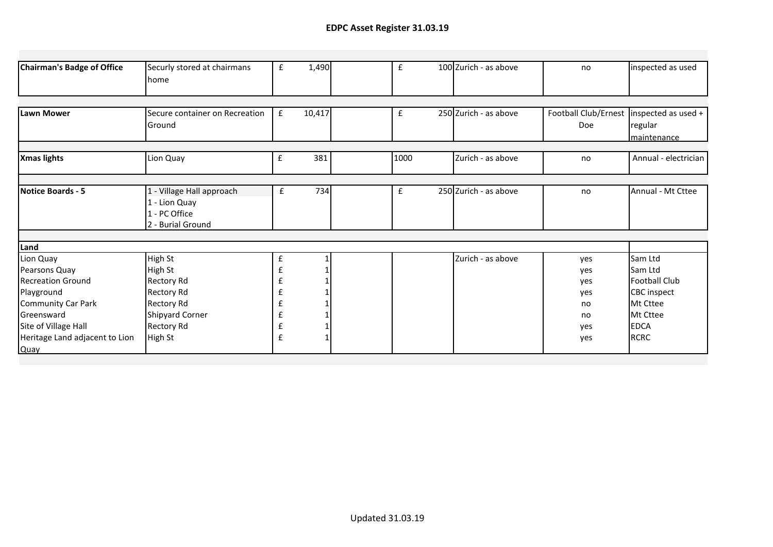| Chairman's Badge of Office                                                                                                                                                        | Securly stored at chairmans<br><b>home</b>                                                                                                  | £                          | 1,490  | £    | 100 Zurich - as above | no                                                 | inspected as used                                                                                                      |
|-----------------------------------------------------------------------------------------------------------------------------------------------------------------------------------|---------------------------------------------------------------------------------------------------------------------------------------------|----------------------------|--------|------|-----------------------|----------------------------------------------------|------------------------------------------------------------------------------------------------------------------------|
|                                                                                                                                                                                   |                                                                                                                                             |                            |        |      |                       |                                                    |                                                                                                                        |
| lLawn Mower                                                                                                                                                                       | Secure container on Recreation<br>Ground                                                                                                    | £                          | 10,417 | £    | 250 Zurich - as above | Football Club/Ernest   inspected as used +<br>Doe  | regular<br>maintenance                                                                                                 |
|                                                                                                                                                                                   |                                                                                                                                             |                            |        |      |                       |                                                    |                                                                                                                        |
| <b>Xmas lights</b>                                                                                                                                                                | Lion Quay                                                                                                                                   | $\pmb{\mathsf{f}}$         | 381    | 1000 | Zurich - as above     | no                                                 | Annual - electrician                                                                                                   |
|                                                                                                                                                                                   |                                                                                                                                             |                            |        |      |                       |                                                    |                                                                                                                        |
| Notice Boards - 5                                                                                                                                                                 | 1 - Village Hall approach<br>1 - Lion Quay<br>1 - PC Office<br>2 - Burial Ground                                                            | £                          | 734    | £    | 250 Zurich - as above | no                                                 | Annual - Mt Cttee                                                                                                      |
|                                                                                                                                                                                   |                                                                                                                                             |                            |        |      |                       |                                                    |                                                                                                                        |
| Land                                                                                                                                                                              |                                                                                                                                             |                            |        |      |                       |                                                    |                                                                                                                        |
| Lion Quay<br>Pearsons Quay<br><b>Recreation Ground</b><br>Playground<br>Community Car Park<br><b>Greensward</b><br>Site of Village Hall<br>Heritage Land adjacent to Lion<br>Quay | High St<br>High St<br><b>Rectory Rd</b><br><b>Rectory Rd</b><br><b>Rectory Rd</b><br><b>Shipyard Corner</b><br><b>Rectory Rd</b><br>High St | £<br>£<br>£<br>f<br>£<br>£ |        |      | Zurich - as above     | yes<br>yes<br>yes<br>yes<br>no<br>no<br>yes<br>yes | Sam Ltd<br>Sam Ltd<br><b>Football Club</b><br><b>CBC</b> inspect<br>Mt Cttee<br>Mt Cttee<br><b>EDCA</b><br><b>RCRC</b> |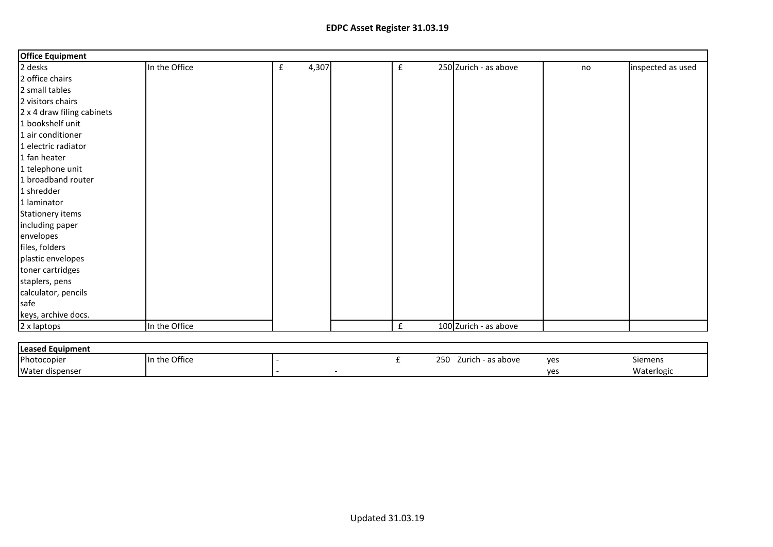## **EDPC Asset Register 31.03.19**

| <b>Office Equipment</b>    |               |            |                    |                       |    |                   |
|----------------------------|---------------|------------|--------------------|-----------------------|----|-------------------|
| 2 desks                    | In the Office | 4,307<br>£ | $\mathbf f$        | 250 Zurich - as above | no | inspected as used |
| 2 office chairs            |               |            |                    |                       |    |                   |
| 2 small tables             |               |            |                    |                       |    |                   |
| 2 visitors chairs          |               |            |                    |                       |    |                   |
| 2 x 4 draw filing cabinets |               |            |                    |                       |    |                   |
| 1 bookshelf unit           |               |            |                    |                       |    |                   |
| 1 air conditioner          |               |            |                    |                       |    |                   |
| 1 electric radiator        |               |            |                    |                       |    |                   |
| 1 fan heater               |               |            |                    |                       |    |                   |
| 1 telephone unit           |               |            |                    |                       |    |                   |
| 1 broadband router         |               |            |                    |                       |    |                   |
| 1 shredder                 |               |            |                    |                       |    |                   |
| 1 laminator                |               |            |                    |                       |    |                   |
| Stationery items           |               |            |                    |                       |    |                   |
| including paper            |               |            |                    |                       |    |                   |
| envelopes                  |               |            |                    |                       |    |                   |
| files, folders             |               |            |                    |                       |    |                   |
| plastic envelopes          |               |            |                    |                       |    |                   |
| toner cartridges           |               |            |                    |                       |    |                   |
| staplers, pens             |               |            |                    |                       |    |                   |
| calculator, pencils        |               |            |                    |                       |    |                   |
| safe                       |               |            |                    |                       |    |                   |
| keys, archive docs.        |               |            |                    |                       |    |                   |
| 2 x laptops                | In the Office |            | $\pmb{\mathsf{f}}$ | 100 Zurich - as above |    |                   |

| <b>Leased Equipment</b> |               |  |  |  |                             |     |            |  |  |
|-------------------------|---------------|--|--|--|-----------------------------|-----|------------|--|--|
| Photocopier             | In the Office |  |  |  | 250<br>as above -<br>Zurich | yes | Siemens    |  |  |
| Water dispenser         |               |  |  |  |                             | ves | Waterlogic |  |  |